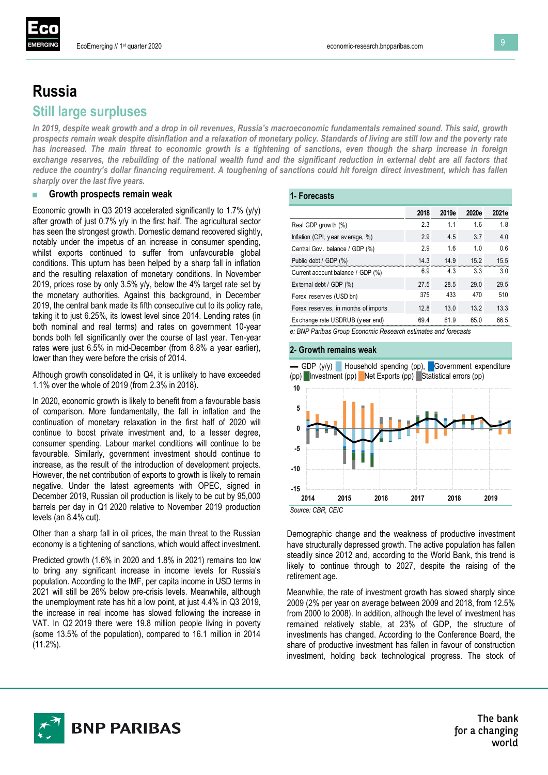

# **Russia Still large surpluses**

*In 2019, despite weak growth and a drop in oil revenues, Russia's macroeconomic fundamentals remained sound. This said, growth prospects remain weak despite disinflation and a relaxation of monetary policy. Standards of living are still low and the poverty rate has increased. The main threat to economic growth is a tightening of sanctions, even though the sharp increase in foreign exchange reserves, the rebuilding of the national wealth fund and the significant reduction in external debt are all factors that reduce the country's dollar financing requirement. A toughening of sanctions could hit foreign direct investment, which has fallen sharply over the last five years.* 

### **■ Growth prospects remain weak**

Economic growth in Q3 2019 accelerated significantly to 1.7% (y/y) after growth of just 0.7% y/y in the first half. The agricultural sector has seen the strongest growth. Domestic demand recovered slightly, notably under the impetus of an increase in consumer spending, whilst exports continued to suffer from unfavourable global conditions. This upturn has been helped by a sharp fall in inflation and the resulting relaxation of monetary conditions. In November 2019, prices rose by only 3.5% y/y, below the 4% target rate set by the monetary authorities. Against this background, in December 2019, the central bank made its fifth consecutive cut to its policy rate, taking it to just 6.25%, its lowest level since 2014. Lending rates (in both nominal and real terms) and rates on government 10-year bonds both fell significantly over the course of last year. Ten-year rates were just 6.5% in mid-December (from 8.8% a year earlier), lower than they were before the crisis of 2014.

Although growth consolidated in Q4, it is unlikely to have exceeded 1.1% over the whole of 2019 (from 2.3% in 2018).

In 2020, economic growth is likely to benefit from a favourable basis of comparison. More fundamentally, the fall in inflation and the continuation of monetary relaxation in the first half of 2020 will continue to boost private investment and, to a lesser degree, consumer spending. Labour market conditions will continue to be favourable. Similarly, government investment should continue to increase, as the result of the introduction of development projects. However, the net contribution of exports to growth is likely to remain negative. Under the latest agreements with OPEC, signed in December 2019, Russian oil production is likely to be cut by 95,000 barrels per day in Q1 2020 relative to November 2019 production levels (an 8.4% cut).

Other than a sharp fall in oil prices, the main threat to the Russian economy is a tightening of sanctions, which would affect investment.

Predicted growth (1.6% in 2020 and 1.8% in 2021) remains too low to bring any significant increase in income levels for Russia's population. According to the IMF, per capita income in USD terms in 2021 will still be 26% below pre-crisis levels. Meanwhile, although the unemployment rate has hit a low point, at just 4.4% in Q3 2019, the increase in real income has slowed following the increase in VAT. In Q2 2019 there were 19.8 million people living in poverty (some 13.5% of the population), compared to 16.1 million in 2014 (11.2%).

## **1- Forecasts**

|                                      | 2018 | 2019e | 2020e          | 2021e          |
|--------------------------------------|------|-------|----------------|----------------|
| Real GDP grow th (%)                 | 23   | 11    | 16             | 18             |
| Inflation (CPI, year average, %)     | 29   | 4.5   | 37             | 4.0            |
| Central Gov. balance / GDP (%)       | 29   | 16    | 1 <sub>0</sub> | 06             |
| Public debt / GDP (%)                | 14.3 | 14 9  | 152            | 15.5           |
| Current account balance / GDP (%)    | 6.9  | 43    | 33             | 3 <sub>0</sub> |
| External debt / GDP (%)              | 27.5 | 28.5  | 29.0           | 29.5           |
| Forex reserves (USD bn)              | 375  | 433   | 470            | 510            |
| Forex reserves, in months of imports | 12.8 | 13.0  | 132            | 13.3           |
| Ex change rate USDRUB (year end)     | 69 4 | 61 Q  | 65 N           | 66.5           |

*e: BNP Paribas Group Economic Research estimates and forecasts*

#### **2- Growth remains weak**



Demographic change and the weakness of productive investment have structurally depressed growth. The active population has fallen steadily since 2012 and, according to the World Bank, this trend is likely to continue through to 2027, despite the raising of the retirement age.

Meanwhile, the rate of investment growth has slowed sharply since 2009 (2% per year on average between 2009 and 2018, from 12.5% from 2000 to 2008). In addition, although the level of investment has remained relatively stable, at 23% of GDP, the structure of investments has changed. According to the Conference Board, the share of productive investment has fallen in favour of construction investment, holding back technological progress. The stock of



The bank for a changing world